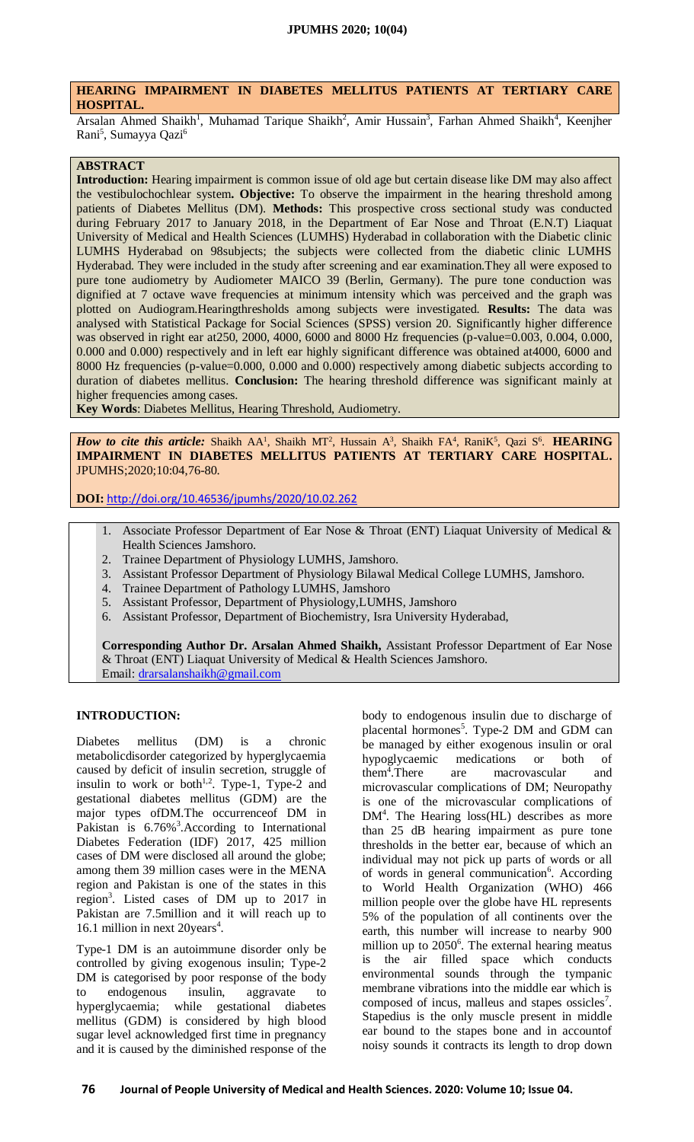# **HEARING IMPAIRMENT IN DIABETES MELLITUS PATIENTS AT TERTIARY CARE HOSPITAL.**

Arsalan Ahmed Shaikh<sup>1</sup>, Muhamad Tarique Shaikh<sup>2</sup>, Amir Hussain<sup>3</sup>, Farhan Ahmed Shaikh<sup>4</sup>, Keenjher Rani<sup>5</sup>, Sumayya Qazi<sup>6</sup>

# **ABSTRACT**

**Introduction:** Hearing impairment is common issue of old age but certain disease like DM may also affect the vestibulochochlear system**. Objective:** To observe the impairment in the hearing threshold among patients of Diabetes Mellitus (DM). **Methods:** This prospective cross sectional study was conducted during February 2017 to January 2018, in the Department of Ear Nose and Throat (E.N.T) Liaquat University of Medical and Health Sciences (LUMHS) Hyderabad in collaboration with the Diabetic clinic LUMHS Hyderabad on 98subjects; the subjects were collected from the diabetic clinic LUMHS Hyderabad. They were included in the study after screening and ear examination.They all were exposed to pure tone audiometry by Audiometer MAICO 39 (Berlin, Germany). The pure tone conduction was dignified at 7 octave wave frequencies at minimum intensity which was perceived and the graph was plotted on Audiogram.Hearingthresholds among subjects were investigated. **Results:** The data was analysed with Statistical Package for Social Sciences (SPSS) version 20. Significantly higher difference was observed in right ear at250, 2000, 4000, 6000 and 8000 Hz frequencies (p-value=0.003, 0.004, 0.000, 0.000 and 0.000) respectively and in left ear highly significant difference was obtained at4000, 6000 and 8000 Hz frequencies (p-value=0.000, 0.000 and 0.000) respectively among diabetic subjects according to duration of diabetes mellitus. **Conclusion:** The hearing threshold difference was significant mainly at higher frequencies among cases.

**Key Words**: Diabetes Mellitus, Hearing Threshold, Audiometry.

*How to cite this article:* Shaikh AA<sup>1</sup>, Shaikh MT<sup>2</sup>, Hussain A<sup>3</sup>, Shaikh FA<sup>4</sup>, RaniK<sup>5</sup>, Qazi S<sup>6</sup>. **HEARING IMPAIRMENT IN DIABETES MELLITUS PATIENTS AT TERTIARY CARE HOSPITAL.** JPUMHS;2020;10:04,76-80.

**DOI:** <http://doi.org/10.46536/jpumhs/2020/10.02.262>

- 1. Associate Professor Department of Ear Nose & Throat (ENT) Liaquat University of Medical & Health Sciences Jamshoro.
- 2. Trainee Department of Physiology LUMHS, Jamshoro.
- 3. Assistant Professor Department of Physiology Bilawal Medical College LUMHS, Jamshoro.
- 4. Trainee Department of Pathology LUMHS, Jamshoro
- 5. Assistant Professor, Department of Physiology,LUMHS, Jamshoro
- 6. Assistant Professor, Department of Biochemistry, Isra University Hyderabad,

**Corresponding Author Dr. Arsalan Ahmed Shaikh,** Assistant Professor Department of Ear Nose & Throat (ENT) Liaquat University of Medical & Health Sciences Jamshoro. Email: [drarsalanshaikh@gmail.com](mailto:drarsalanshaikh@gmail.com)

#### **INTRODUCTION:**

Diabetes mellitus (DM) is a chronic metabolicdisorder categorized by hyperglycaemia caused by deficit of insulin secretion, struggle of insulin to work or both<sup>1,2</sup>. Type-1, Type-2 and gestational diabetes mellitus (GDM) are the major types ofDM.The occurrenceof DM in Pakistan is  $6.76\%$ <sup>3</sup>. According to International Diabetes Federation (IDF) 2017, 425 million cases of DM were disclosed all around the globe; among them 39 million cases were in the MENA region and Pakistan is one of the states in this region<sup>3</sup>. Listed cases of DM up to 2017 in Pakistan are 7.5million and it will reach up to 16.1 million in next 20years<sup>4</sup>.

Type-1 DM is an autoimmune disorder only be controlled by giving exogenous insulin; Type-2 DM is categorised by poor response of the body to endogenous insulin, aggravate to hyperglycaemia; while gestational diabetes mellitus (GDM) is considered by high blood sugar level acknowledged first time in pregnancy and it is caused by the diminished response of the

body to endogenous insulin due to discharge of placental hormones<sup>5</sup>. Type-2 DM and GDM can be managed by either exogenous insulin or oral hypoglycaemic medications or both of  $them<sup>4</sup>. There$ are macrovascular and microvascular complications of DM; Neuropathy is one of the microvascular complications of DM<sup>4</sup>. The Hearing loss(HL) describes as more than 25 dB hearing impairment as pure tone thresholds in the better ear, because of which an individual may not pick up parts of words or all of words in general communication<sup>6</sup>. According to World Health Organization (WHO) 466 million people over the globe have HL represents 5% of the population of all continents over the earth, this number will increase to nearby 900 million up to 2050<sup>6</sup>. The external hearing meatus is the air filled space which conducts environmental sounds through the tympanic membrane vibrations into the middle ear which is composed of incus, malleus and stapes ossicles<sup>7</sup>. Stapedius is the only muscle present in middle ear bound to the stapes bone and in accountof noisy sounds it contracts its length to drop down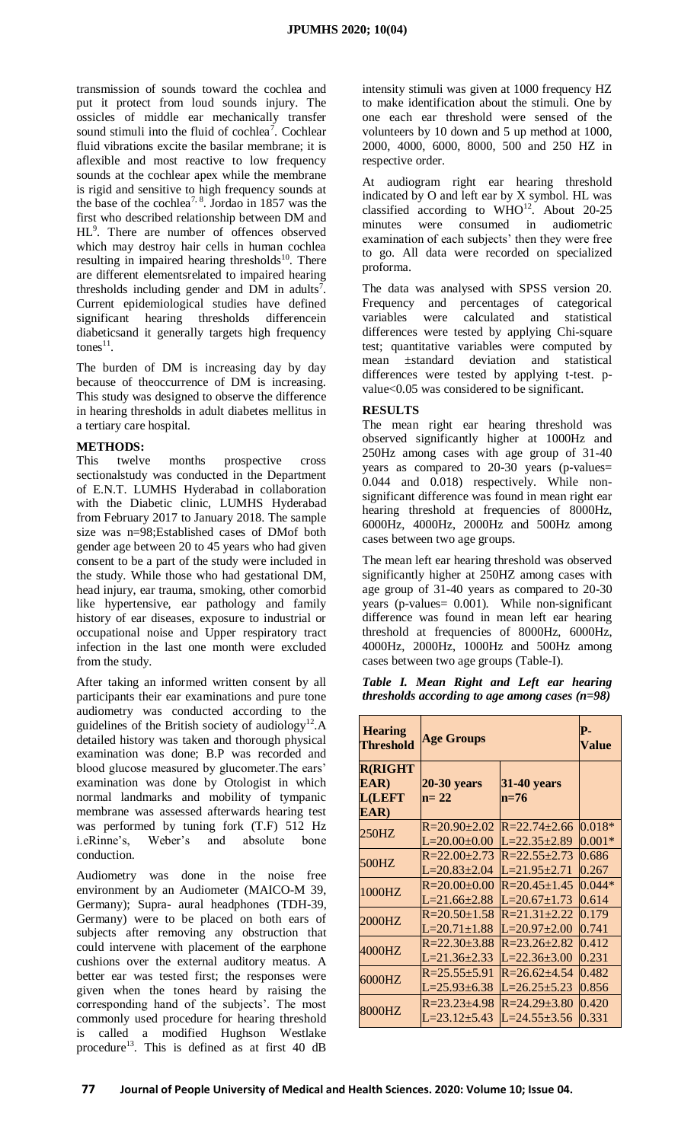transmission of sounds toward the cochlea and put it protect from loud sounds injury. The ossicles of middle ear mechanically transfer sound stimuli into the fluid of cochlea<sup>7</sup>. Cochlear fluid vibrations excite the basilar membrane; it is aflexible and most reactive to low frequency sounds at the cochlear apex while the membrane is rigid and sensitive to high frequency sounds at the base of the cochlea<sup>7, 8</sup>. Jordao in 1857 was the first who described relationship between DM and HL<sup>9</sup>. There are number of offences observed which may destroy hair cells in human cochlea resulting in impaired hearing thresholds<sup>10</sup>. There are different elementsrelated to impaired hearing thresholds including gender and DM in adults<sup>7</sup>. Current epidemiological studies have defined significant hearing thresholds differencein diabeticsand it generally targets high frequency tones $^{11}$ .

The burden of DM is increasing day by day because of theoccurrence of DM is increasing. This study was designed to observe the difference in hearing thresholds in adult diabetes mellitus in a tertiary care hospital.

## **METHODS:**

This twelve months prospective cross sectionalstudy was conducted in the Department of E.N.T. LUMHS Hyderabad in collaboration with the Diabetic clinic, LUMHS Hyderabad from February 2017 to January 2018. The sample size was n=98;Established cases of DMof both gender age between 20 to 45 years who had given consent to be a part of the study were included in the study. While those who had gestational DM, head injury, ear trauma, smoking, other comorbid like hypertensive, ear pathology and family history of ear diseases, exposure to industrial or occupational noise and Upper respiratory tract infection in the last one month were excluded from the study.

After taking an informed written consent by all participants their ear examinations and pure tone audiometry was conducted according to the guidelines of the British society of audiology<sup>12</sup>.A detailed history was taken and thorough physical examination was done; B.P was recorded and blood glucose measured by glucometer.The ears' examination was done by Otologist in which normal landmarks and mobility of tympanic membrane was assessed afterwards hearing test was performed by tuning fork (T.F) 512 Hz i.eRinne's, Weber's and absolute bone conduction.

Audiometry was done in the noise free environment by an Audiometer (MAICO-M 39, Germany); Supra- aural headphones (TDH-39, Germany) were to be placed on both ears of subjects after removing any obstruction that could intervene with placement of the earphone cushions over the external auditory meatus. A better ear was tested first; the responses were given when the tones heard by raising the corresponding hand of the subjects'. The most commonly used procedure for hearing threshold is called a modified Hughson Westlake procedure<sup>13</sup>. This is defined as at first 40 dB

intensity stimuli was given at 1000 frequency HZ to make identification about the stimuli. One by one each ear threshold were sensed of the volunteers by 10 down and 5 up method at 1000, 2000, 4000, 6000, 8000, 500 and 250 HZ in respective order.

At audiogram right ear hearing threshold indicated by O and left ear by X symbol. HL was classified according to WHO<sup>12</sup>. About 20-25 minutes were consumed in audiometric examination of each subjects' then they were free to go. All data were recorded on specialized proforma.

The data was analysed with SPSS version 20. Frequency and percentages of categorical variables were calculated and statistical differences were tested by applying Chi-square test; quantitative variables were computed by mean ±standard deviation and statistical differences were tested by applying t-test. pvalue<0.05 was considered to be significant.

## **RESULTS**

The mean right ear hearing threshold was observed significantly higher at 1000Hz and 250Hz among cases with age group of 31-40 years as compared to 20-30 years (p-values= 0.044 and 0.018) respectively. While nonsignificant difference was found in mean right ear hearing threshold at frequencies of 8000Hz, 6000Hz, 4000Hz, 2000Hz and 500Hz among cases between two age groups.

The mean left ear hearing threshold was observed significantly higher at 250HZ among cases with age group of 31-40 years as compared to 20-30 years (p-values= 0.001). While non-significant difference was found in mean left ear hearing threshold at frequencies of 8000Hz, 6000Hz, 4000Hz, 2000Hz, 1000Hz and 500Hz among cases between two age groups (Table-I).

*Table I. Mean Right and Left ear hearing thresholds according to age among cases (n=98)*

| <b>Hearing</b><br><b>Threshold</b>              | <b>Age Groups</b>         |                            | P-<br>Value |
|-------------------------------------------------|---------------------------|----------------------------|-------------|
| <b>R(RIGHT</b><br>EAR)<br><b>L(LEFT</b><br>EAR) | $20-30$ years<br>$n = 22$ | <b>31-40 years</b><br>n=76 |             |
| 250HZ                                           | $R = 20.90 \pm 2.02$      | $R = 22.74 \pm 2.66$       | $0.018*$    |
|                                                 | $L=20.00\pm0.00$          | $L=22.35\pm2.89$           | $0.001*$    |
| 500HZ                                           | $R = 22.00 \pm 2.73$      | $R = 22.55 + 2.73$         | 0.686       |
|                                                 | $L=20.83\pm2.04$          | $L = 21.95 \pm 2.71$       | 0.267       |
| 1000HZ                                          | R=20.00±0.00              | $R = 20.45 \pm 1.45$       | $0.044*$    |
|                                                 | L=21.66±2.88              | $L=20.67\pm1.73$           | 0.614       |
| 2000HZ                                          | $R = 20.50 \pm 1.58$      | $R = 21.31 \pm 2.22$       | 0.179       |
|                                                 | $L=20.71\pm1.88$          | $L=20.97\pm2.00$           | 0.741       |
| 4000HZ                                          | $R = 22.30 \pm 3.88$      | $R = 23.26 \pm 2.82$       | 0.412       |
|                                                 | $L=21.36\pm2.33$          | $L=22.36\pm3.00$           | 0.231       |
| 6000HZ                                          | $R = 25.55 \pm 5.91$      | $R = 26.62 + 4.54$         | 0.482       |
|                                                 | L=25.93±6.38              | $L=26.25\pm5.23$           | 0.856       |
| 8000HZ                                          | R=23.23±4.98              | $R = 24.29 \pm 3.80$       | 0.420       |
|                                                 | $L=23.12+5.43$            | $L=24.55+3.56$             | 0.331       |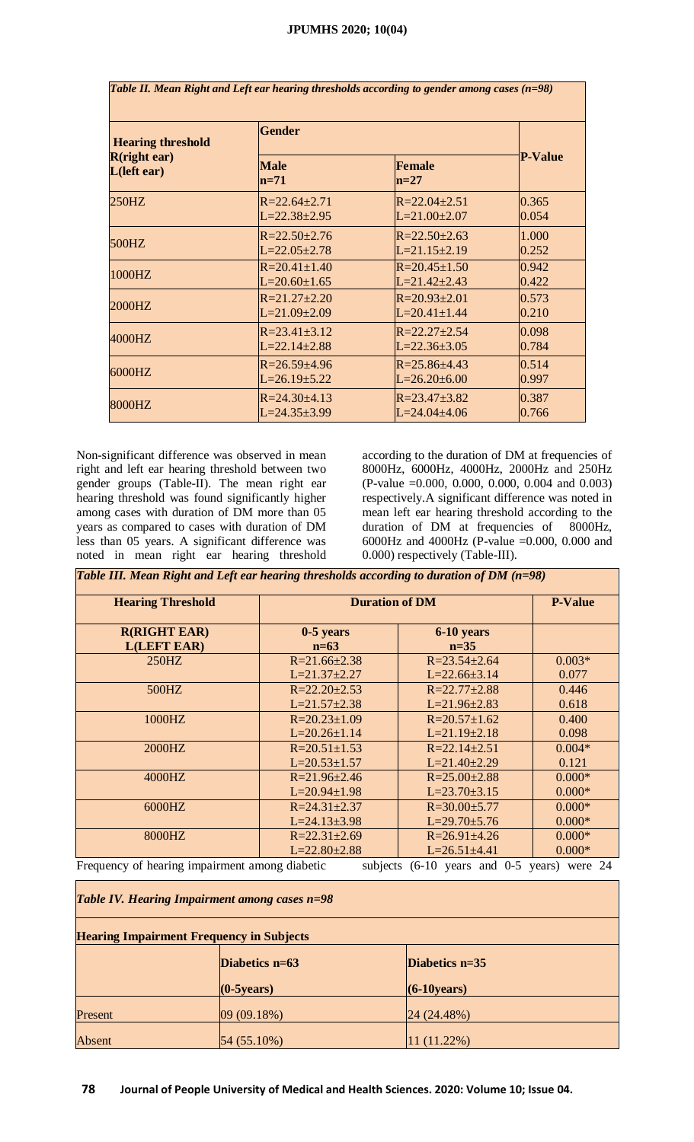| <b>Hearing threshold</b><br>$R$ (right ear)<br>$L(\text{left ear})$ | <b>Gender</b>         |                      |                |
|---------------------------------------------------------------------|-----------------------|----------------------|----------------|
|                                                                     | <b>Male</b><br>$n=71$ | Female<br>$n=27$     | <b>P-Value</b> |
| 250HZ                                                               | $R = 22.64 \pm 2.71$  | $R = 22.04 \pm 2.51$ | 0.365          |
|                                                                     | $L = 22.38 \pm 2.95$  | $L = 21.00 \pm 2.07$ | 0.054          |
| 500HZ                                                               | $R = 22.50 \pm 2.76$  | $R = 22.50 \pm 2.63$ | 1.000          |
|                                                                     | $L = 22.05 \pm 2.78$  | $L=21.15\pm2.19$     | 0.252          |
| 1000HZ                                                              | $R = 20.41 \pm 1.40$  | $R = 20.45 \pm 1.50$ | 0.942          |
|                                                                     | $L=20.60\pm1.65$      | $L = 21.42 \pm 2.43$ | 0.422          |
| 2000HZ                                                              | $R = 21.27 \pm 2.20$  | $R = 20.93 \pm 2.01$ | 0.573          |
|                                                                     | $L = 21.09 \pm 2.09$  | $L=20.41\pm1.44$     | 0.210          |
| 4000HZ                                                              | $R = 23.41 \pm 3.12$  | $R = 22.27 \pm 2.54$ | 0.098          |
|                                                                     | $L = 22.14 \pm 2.88$  | $L=22.36\pm3.05$     | 0.784          |
| 6000HZ                                                              | $R = 26.59 \pm 4.96$  | $R = 25.86 \pm 4.43$ | 0.514          |
|                                                                     | $L=26.19\pm 5.22$     | $L=26.20\pm6.00$     | 0.997          |
| 8000HZ                                                              | $R = 24.30 \pm 4.13$  | $R = 23.47 \pm 3.82$ | 0.387          |
|                                                                     | $L = 24.35 \pm 3.99$  | $L = 24.04 \pm 4.06$ | 0.766          |

Non-significant difference was observed in mean right and left ear hearing threshold between two gender groups (Table-II). The mean right ear hearing threshold was found significantly higher among cases with duration of DM more than 05 years as compared to cases with duration of DM less than 05 years. A significant difference was noted in mean right ear hearing threshold

according to the duration of DM at frequencies of 8000Hz, 6000Hz, 4000Hz, 2000Hz and 250Hz (P-value =0.000, 0.000, 0.000, 0.004 and 0.003) respectively.A significant difference was noted in mean left ear hearing threshold according to the duration of DM at frequencies of 8000Hz, 6000Hz and 4000Hz (P-value =0.000, 0.000 and 0.000) respectively (Table-III).

*Table III. Mean Right and Left ear hearing thresholds according to duration of DM (n=98)*

| <b>Hearing Threshold</b><br><b>Duration of DM</b>                                                                  |                      |                      | <b>P-Value</b> |  |
|--------------------------------------------------------------------------------------------------------------------|----------------------|----------------------|----------------|--|
|                                                                                                                    |                      |                      |                |  |
| <b>R(RIGHT EAR)</b>                                                                                                | $0-5$ years          | 6-10 years           |                |  |
| <b>L(LEFT EAR)</b>                                                                                                 | $n=63$               | $n=35$               |                |  |
| $250$ HZ                                                                                                           | $R = 21.66 \pm 2.38$ | $R = 23.54 \pm 2.64$ | $0.003*$       |  |
|                                                                                                                    | $L=21.37\pm2.27$     | $L=22.66\pm3.14$     | 0.077          |  |
| 500HZ                                                                                                              | $R = 22.20 \pm 2.53$ | $R = 22.77 \pm 2.88$ | 0.446          |  |
|                                                                                                                    | $L=21.57\pm2.38$     | $L=21.96\pm2.83$     | 0.618          |  |
| 1000HZ                                                                                                             | $R = 20.23 \pm 1.09$ | $R = 20.57 \pm 1.62$ | 0.400          |  |
|                                                                                                                    | $L=20.26\pm1.14$     | $L=21.19\pm2.18$     | 0.098          |  |
| 2000HZ                                                                                                             | $R = 20.51 \pm 1.53$ | $R = 22.14 \pm 2.51$ | $0.004*$       |  |
|                                                                                                                    | $L=20.53\pm1.57$     | $L=21.40\pm2.29$     | 0.121          |  |
| 4000HZ                                                                                                             | $R = 21.96 \pm 2.46$ | $R = 25.00 \pm 2.88$ | $0.000*$       |  |
|                                                                                                                    | $L=20.94\pm1.98$     | $L=23.70\pm3.15$     | $0.000*$       |  |
| 6000HZ                                                                                                             | $R = 24.31 \pm 2.37$ | $R = 30.00 \pm 5.77$ | $0.000*$       |  |
|                                                                                                                    | $L=24.13\pm3.98$     | $L=29.70\pm5.76$     | $0.000*$       |  |
| 8000HZ                                                                                                             | $R = 22.31 \pm 2.69$ | $R = 26.91 \pm 4.26$ | $0.000*$       |  |
|                                                                                                                    | $L=22.80\pm2.88$     | $L=26.51\pm4.41$     | $0.000*$       |  |
| Frequency of hearing impairment among diabetic<br>$(6-10 \text{ years}$ and $0-5$<br>were 24<br>subjects<br>years) |                      |                      |                |  |

| Table IV. Hearing Impairment among cases n=98<br><b>Hearing Impairment Frequency in Subjects</b> |                      |                  |  |  |  |
|--------------------------------------------------------------------------------------------------|----------------------|------------------|--|--|--|
|                                                                                                  |                      |                  |  |  |  |
|                                                                                                  | $(0-5 \text{years})$ | $(6-10)$ years)  |  |  |  |
| Present                                                                                          | 09(09.18%)           | $[24 (24.48\%)]$ |  |  |  |
| Absent                                                                                           | $54(55.10\%)$        | $11(11.22\%)$    |  |  |  |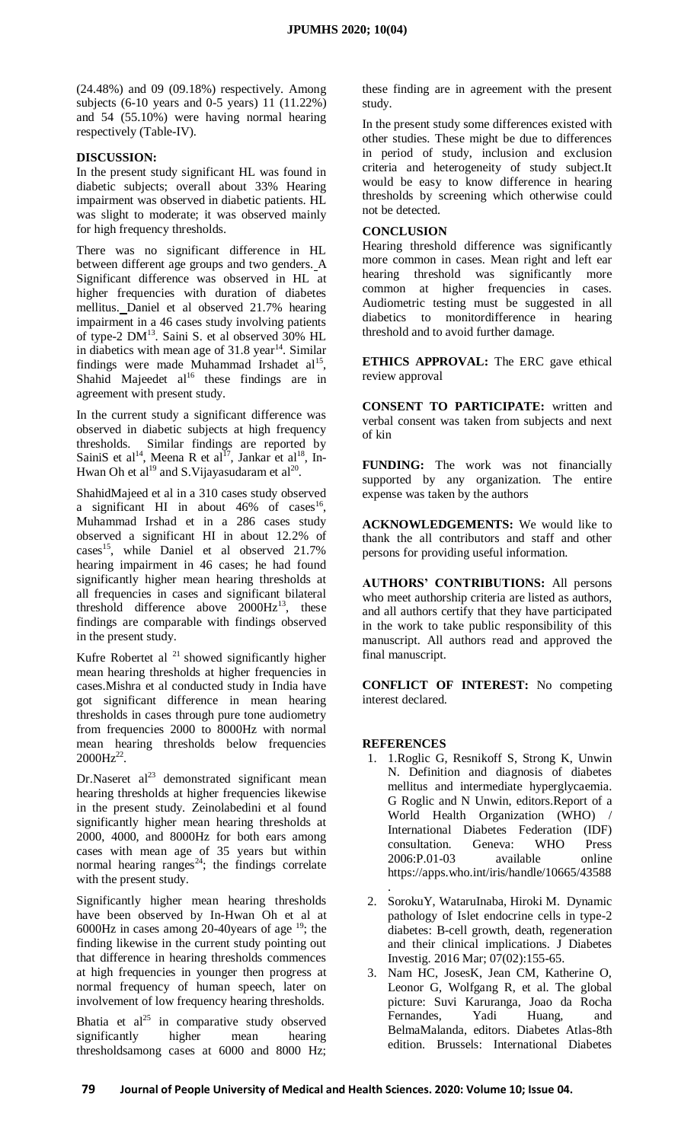(24.48%) and 09 (09.18%) respectively. Among subjects (6-10 years and 0-5 years) 11 (11.22%) and 54 (55.10%) were having normal hearing respectively (Table-IV).

## **DISCUSSION:**

In the present study significant HL was found in diabetic subjects; overall about 33% Hearing impairment was observed in diabetic patients. HL was slight to moderate; it was observed mainly for high frequency thresholds.

There was no significant difference in HL between different age groups and two genders. A Significant difference was observed in HL at higher frequencies with duration of diabetes mellitus. Daniel et al observed 21.7% hearing impairment in a 46 cases study involving patients of type-2 DM<sup>13</sup>. Saini S. et al observed 30% HL in diabetics with mean age of  $31.8 \text{ year}^{14}$ . Similar findings were made Muhammad Irshadet  $al<sup>15</sup>$ , Shahid Majeedet  $al^{16}$  these findings are in agreement with present study.

In the current study a significant difference was observed in diabetic subjects at high frequency thresholds. Similar findings are reported by SainiS et al<sup>14</sup>, Meena R et al<sup>17</sup>, Jankar et al<sup>18</sup>, In-Hwan Oh et al<sup>19</sup> and S. Vijayasudaram et al<sup>20</sup>.

ShahidMajeed et al in a 310 cases study observed a significant HI in about  $46\%$  of cases<sup>16</sup>, Muhammad Irshad et in a 286 cases study observed a significant HI in about 12.2% of cases<sup>15</sup>, while Daniel et al observed 21.7% hearing impairment in 46 cases; he had found significantly higher mean hearing thresholds at all frequencies in cases and significant bilateral threshold difference above  $2000 \text{Hz}^{13}$ , these findings are comparable with findings observed in the present study.

Kufre Robertet al  $^{21}$  showed significantly higher mean hearing thresholds at higher frequencies in cases.Mishra et al conducted study in India have got significant difference in mean hearing thresholds in cases through pure tone audiometry from frequencies 2000 to 8000Hz with normal mean hearing thresholds below frequencies  $2000 \text{Hz}^{22}$ .

Dr.Naseret  $al^{23}$  demonstrated significant mean hearing thresholds at higher frequencies likewise in the present study. Zeinolabedini et al found significantly higher mean hearing thresholds at 2000, 4000, and 8000Hz for both ears among cases with mean age of 35 years but within normal hearing ranges<sup>24</sup>; the findings correlate with the present study.

Significantly higher mean hearing thresholds have been observed by In-Hwan Oh et al at 6000Hz in cases among 20-40 years of age  $19$ ; the finding likewise in the current study pointing out that difference in hearing thresholds commences at high frequencies in younger then progress at normal frequency of human speech, later on involvement of low frequency hearing thresholds.

Bhatia et  $al^{25}$  in comparative study observed significantly higher mean hearing thresholdsamong cases at 6000 and 8000 Hz;

these finding are in agreement with the present study.

In the present study some differences existed with other studies. These might be due to differences in period of study, inclusion and exclusion criteria and heterogeneity of study subject.It would be easy to know difference in hearing thresholds by screening which otherwise could not be detected.

## **CONCLUSION**

Hearing threshold difference was significantly more common in cases. Mean right and left ear hearing threshold was significantly more common at higher frequencies in cases. Audiometric testing must be suggested in all diabetics to monitordifference in hearing threshold and to avoid further damage.

**ETHICS APPROVAL:** The ERC gave ethical review approval

**CONSENT TO PARTICIPATE:** written and verbal consent was taken from subjects and next of kin

**FUNDING:** The work was not financially supported by any organization. The entire expense was taken by the authors

**ACKNOWLEDGEMENTS:** We would like to thank the all contributors and staff and other persons for providing useful information.

**AUTHORS' CONTRIBUTIONS:** All persons who meet authorship criteria are listed as authors, and all authors certify that they have participated in the work to take public responsibility of this manuscript. All authors read and approved the final manuscript.

**CONFLICT OF INTEREST:** No competing interest declared.

#### **REFERENCES**

- 1. 1.Roglic G, Resnikoff S, Strong K, Unwin N. Definition and diagnosis of diabetes mellitus and intermediate hyperglycaemia. G Roglic and N Unwin, editors.Report of a World Health Organization (WHO) / International Diabetes Federation (IDF) consultation. Geneva: WHO Press 2006:P.01-03 available online https://apps.who.int/iris/handle/10665/43588
- . 2. SorokuY, WataruInaba, Hiroki M. Dynamic pathology of Islet endocrine cells in type-2 diabetes: B-cell growth, death, regeneration and their clinical implications. J Diabetes Investig. 2016 Mar; 07(02):155-65.
- 3. Nam HC, JosesK, Jean CM, Katherine O, Leonor G, Wolfgang R, et al. The global picture: Suvi Karuranga, Joao da Rocha Fernandes, Yadi Huang, and BelmaMalanda, editors. Diabetes Atlas-8th edition. Brussels: International Diabetes